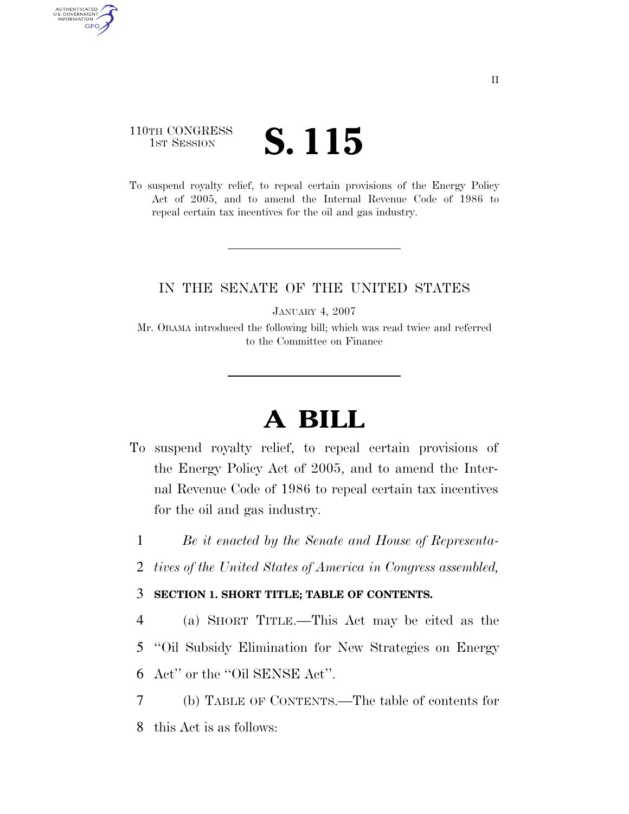# 110TH CONGRESS TH CONGRESS **S. 115**

AUTHENTICATED<br>U.S. GOVERNMENT<br>INFORMATION **GPO** 

> To suspend royalty relief, to repeal certain provisions of the Energy Policy Act of 2005, and to amend the Internal Revenue Code of 1986 to repeal certain tax incentives for the oil and gas industry.

## IN THE SENATE OF THE UNITED STATES

JANUARY 4, 2007

Mr. OBAMA introduced the following bill; which was read twice and referred to the Committee on Finance

# **A BILL**

- To suspend royalty relief, to repeal certain provisions of the Energy Policy Act of 2005, and to amend the Internal Revenue Code of 1986 to repeal certain tax incentives for the oil and gas industry.
	- 1 *Be it enacted by the Senate and House of Representa-*
	- 2 *tives of the United States of America in Congress assembled,*

### 3 **SECTION 1. SHORT TITLE; TABLE OF CONTENTS.**

- 4 (a) SHORT TITLE.—This Act may be cited as the 5 ''Oil Subsidy Elimination for New Strategies on Energy 6 Act'' or the ''Oil SENSE Act''.
- 7 (b) TABLE OF CONTENTS.—The table of contents for 8 this Act is as follows: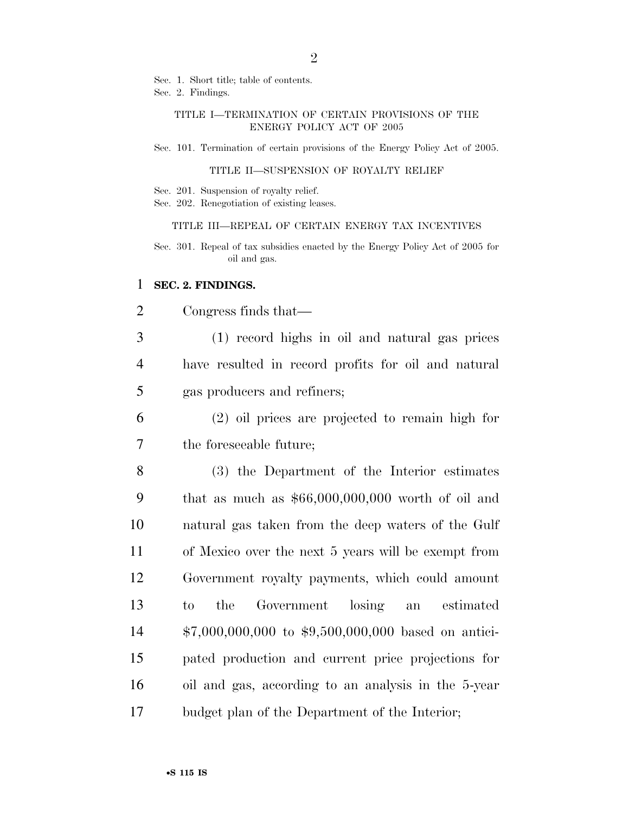Sec. 1. Short title; table of contents.

Sec. 2. Findings.

#### TITLE I—TERMINATION OF CERTAIN PROVISIONS OF THE ENERGY POLICY ACT OF 2005

Sec. 101. Termination of certain provisions of the Energy Policy Act of 2005.

#### TITLE II—SUSPENSION OF ROYALTY RELIEF

Sec. 201. Suspension of royalty relief.

Sec. 202. Renegotiation of existing leases.

TITLE III—REPEAL OF CERTAIN ENERGY TAX INCENTIVES

Sec. 301. Repeal of tax subsidies enacted by the Energy Policy Act of 2005 for oil and gas.

#### 1 **SEC. 2. FINDINGS.**

2 Congress finds that—

3 (1) record highs in oil and natural gas prices 4 have resulted in record profits for oil and natural 5 gas producers and refiners;

6 (2) oil prices are projected to remain high for 7 the foreseeable future;

 (3) the Department of the Interior estimates that as much as \$66,000,000,000 worth of oil and natural gas taken from the deep waters of the Gulf of Mexico over the next 5 years will be exempt from Government royalty payments, which could amount to the Government losing an estimated \$7,000,000,000 to \$9,500,000,000 based on antici- pated production and current price projections for oil and gas, according to an analysis in the 5-year budget plan of the Department of the Interior;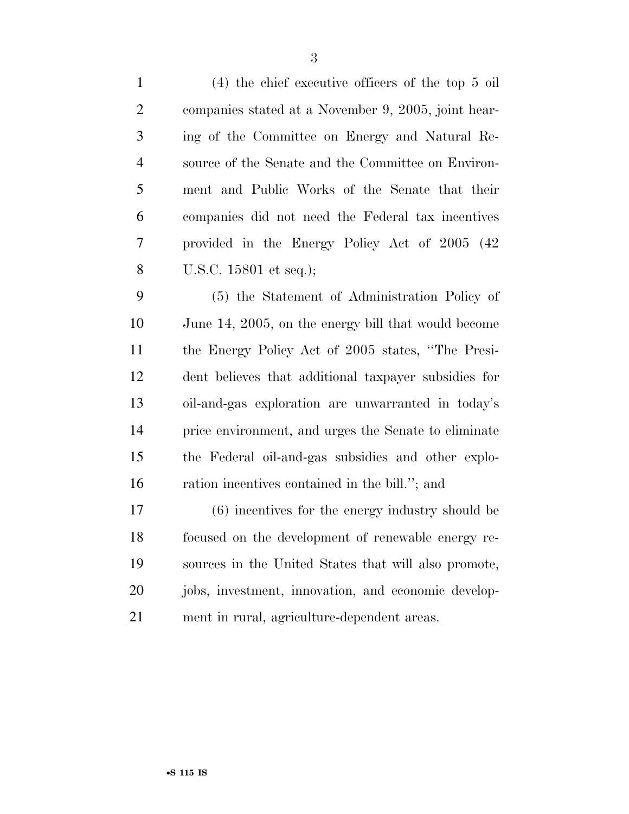| $\mathbf{1}$   | $(4)$ the chief executive officers of the top 5 oil  |
|----------------|------------------------------------------------------|
| $\overline{2}$ | companies stated at a November 9, 2005, joint hear-  |
| 3              | ing of the Committee on Energy and Natural Re-       |
| $\overline{4}$ | source of the Senate and the Committee on Environ-   |
| 5              | ment and Public Works of the Senate that their       |
| 6              | companies did not need the Federal tax incentives    |
| 7              | provided in the Energy Policy Act of 2005 (42)       |
| 8              | U.S.C. 15801 et seq.);                               |
| 9              | (5) the Statement of Administration Policy of        |
| 10             | June 14, 2005, on the energy bill that would become  |
| 11             | the Energy Policy Act of 2005 states, "The Presi-    |
| 12             | dent believes that additional taxpayer subsidies for |

 dent believes that additional taxpayer subsidies for oil-and-gas exploration are unwarranted in today's price environment, and urges the Senate to eliminate the Federal oil-and-gas subsidies and other explo-16 ration incentives contained in the bill."; and

 (6) incentives for the energy industry should be focused on the development of renewable energy re- sources in the United States that will also promote, jobs, investment, innovation, and economic develop-ment in rural, agriculture-dependent areas.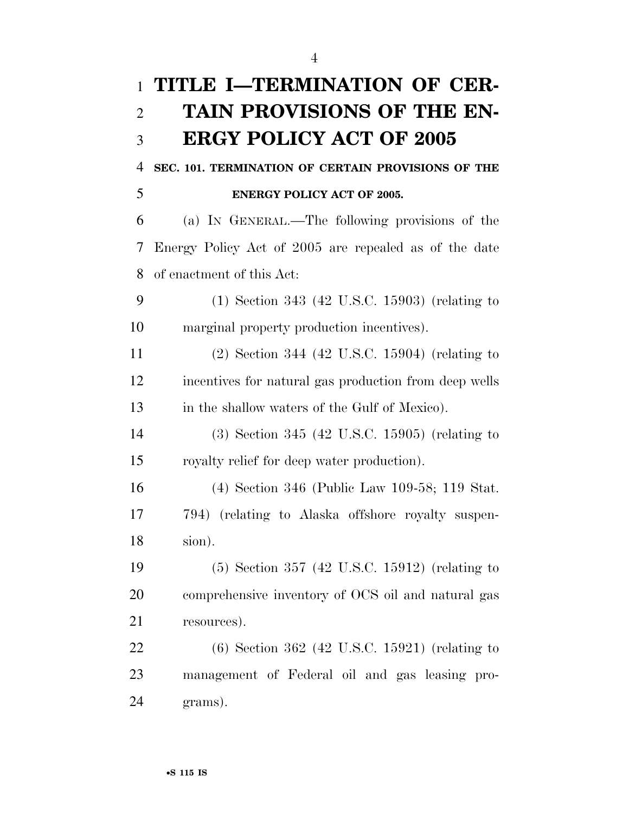| $\mathbf{1}$   | TITLE I-TERMINATION OF CER-                                 |
|----------------|-------------------------------------------------------------|
| $\overline{2}$ | TAIN PROVISIONS OF THE EN-                                  |
| 3              | <b>ERGY POLICY ACT OF 2005</b>                              |
| 4              | SEC. 101. TERMINATION OF CERTAIN PROVISIONS OF THE          |
| 5              | <b>ENERGY POLICY ACT OF 2005.</b>                           |
| 6              | (a) IN GENERAL.—The following provisions of the             |
| 7              | Energy Policy Act of 2005 are repealed as of the date       |
| 8              | of enactment of this Act:                                   |
| 9              | $(1)$ Section 343 (42 U.S.C. 15903) (relating to            |
| 10             | marginal property production incentives).                   |
| 11             | $(2)$ Section 344 $(42 \text{ U.S.C. } 15904)$ (relating to |
| 12             | incentives for natural gas production from deep wells       |
| 13             | in the shallow waters of the Gulf of Mexico).               |
| 14             | $(3)$ Section 345 $(42 \text{ U.S.C. } 15905)$ (relating to |
| 15             | royalty relief for deep water production).                  |
| 16             | (4) Section 346 (Public Law 109-58; 119 Stat.               |
| 17             | 794) (relating to Alaska offshore royalty suspen-           |
| 18             | sion).                                                      |
| 19             | $(5)$ Section 357 (42 U.S.C. 15912) (relating to            |
| 20             | comprehensive inventory of OCS oil and natural gas          |
| 21             | resources).                                                 |
| 22             | $(6)$ Section 362 (42 U.S.C. 15921) (relating to            |
| 23             | management of Federal oil and gas leasing pro-              |
| 24             | grams).                                                     |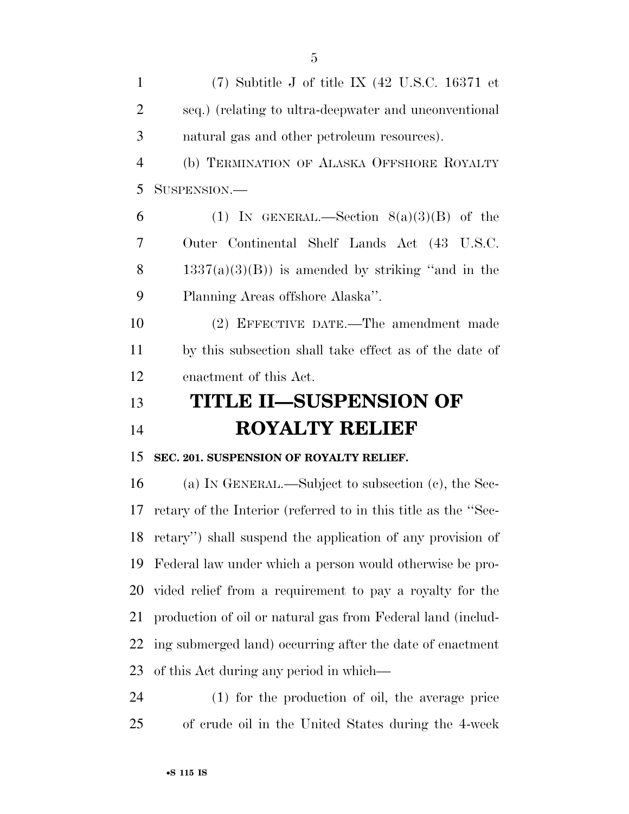(7) Subtitle J of title IX (42 U.S.C. 16371 et seq.) (relating to ultra-deepwater and unconventional natural gas and other petroleum resources). (b) TERMINATION OF ALASKA OFFSHORE ROYALTY SUSPENSION.— 6 (1) IN GENERAL.—Section  $8(a)(3)(B)$  of the Outer Continental Shelf Lands Act (43 U.S.C. 8 1337(a)(3)(B)) is amended by striking "and in the Planning Areas offshore Alaska''. (2) EFFECTIVE DATE.—The amendment made by this subsection shall take effect as of the date of enactment of this Act. **TITLE II—SUSPENSION OF ROYALTY RELIEF SEC. 201. SUSPENSION OF ROYALTY RELIEF.**  (a) IN GENERAL.—Subject to subsection (c), the Sec- retary of the Interior (referred to in this title as the ''Sec- retary'') shall suspend the application of any provision of Federal law under which a person would otherwise be pro- vided relief from a requirement to pay a royalty for the production of oil or natural gas from Federal land (includ- ing submerged land) occurring after the date of enactment of this Act during any period in which—

 (1) for the production of oil, the average price of crude oil in the United States during the 4-week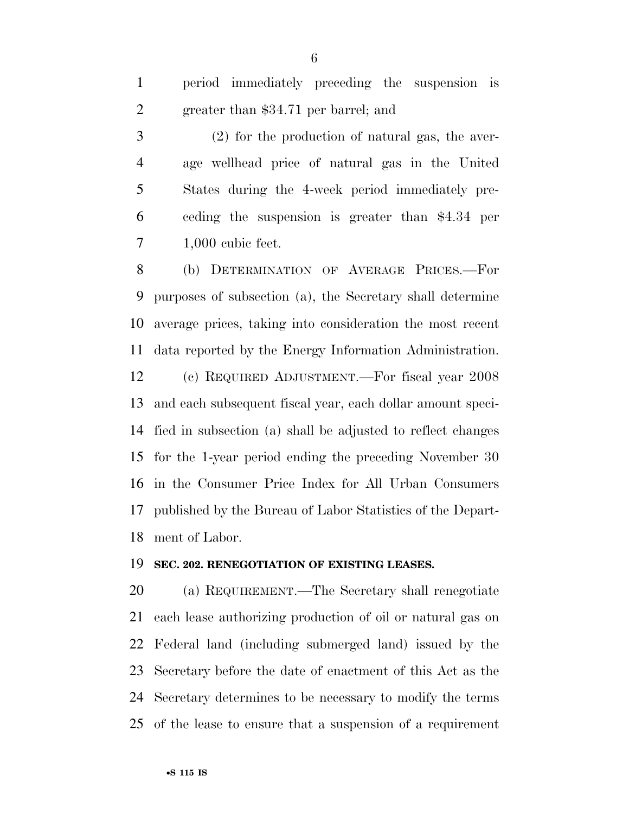period immediately preceding the suspension is greater than \$34.71 per barrel; and

 (2) for the production of natural gas, the aver- age wellhead price of natural gas in the United States during the 4-week period immediately pre- ceding the suspension is greater than \$4.34 per 1,000 cubic feet.

 (b) DETERMINATION OF AVERAGE PRICES.—For purposes of subsection (a), the Secretary shall determine average prices, taking into consideration the most recent data reported by the Energy Information Administration. (c) REQUIRED ADJUSTMENT.—For fiscal year 2008 and each subsequent fiscal year, each dollar amount speci- fied in subsection (a) shall be adjusted to reflect changes for the 1-year period ending the preceding November 30 in the Consumer Price Index for All Urban Consumers published by the Bureau of Labor Statistics of the Depart-ment of Labor.

#### **SEC. 202. RENEGOTIATION OF EXISTING LEASES.**

 (a) REQUIREMENT.—The Secretary shall renegotiate each lease authorizing production of oil or natural gas on Federal land (including submerged land) issued by the Secretary before the date of enactment of this Act as the Secretary determines to be necessary to modify the terms of the lease to ensure that a suspension of a requirement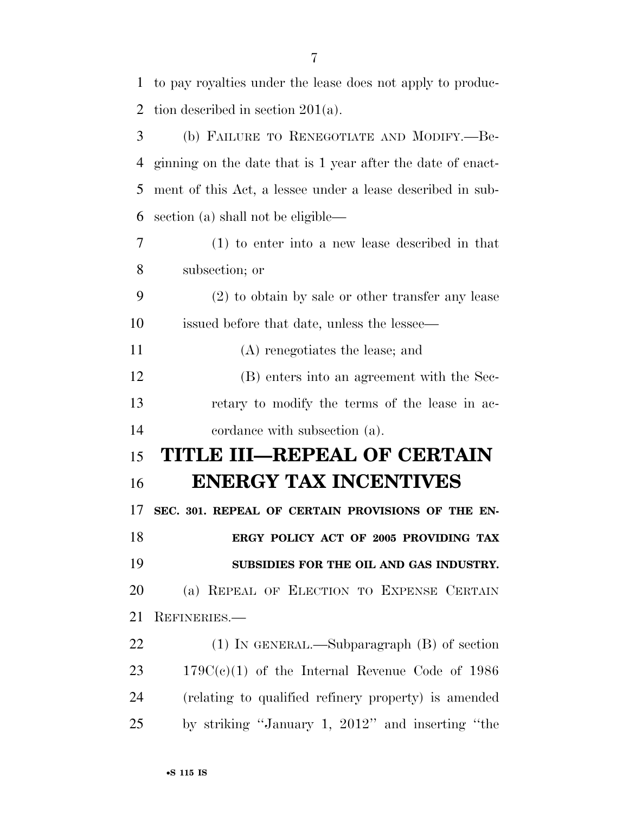| 1              | to pay royalties under the lease does not apply to produc-  |
|----------------|-------------------------------------------------------------|
| 2              | tion described in section $201(a)$ .                        |
| 3              | (b) FAILURE TO RENEGOTIATE AND MODIFY.--Be-                 |
| $\overline{4}$ | ginning on the date that is 1 year after the date of enact- |
| 5              | ment of this Act, a lessee under a lease described in sub-  |
| 6              | section (a) shall not be eligible—                          |
| 7              | $(1)$ to enter into a new lease described in that           |
| 8              | subsection; or                                              |
| 9              | $(2)$ to obtain by sale or other transfer any lease         |
| 10             | issued before that date, unless the lessee—                 |
| 11             | (A) renegotiates the lease; and                             |
| 12             | (B) enters into an agreement with the Sec-                  |
| 13             | retary to modify the terms of the lease in ac-              |
| 14             | cordance with subsection (a).                               |
| 15             | TITLE III-REPEAL OF CERTAIN                                 |
| 16             | <b>ENERGY TAX INCENTIVES</b>                                |
| 17             | SEC. 301. REPEAL OF CERTAIN PROVISIONS OF THE EN-           |
| 18             | ERGY POLICY ACT OF 2005 PROVIDING TAX                       |
| 19             | SUBSIDIES FOR THE OIL AND GAS INDUSTRY.                     |
| 20             | (a) REPEAL OF ELECTION TO EXPENSE CERTAIN                   |
|                |                                                             |
| 21             | REFINERIES.                                                 |
| 22             | $(1)$ In GENERAL.—Subparagraph $(B)$ of section             |
| 23             | $179C(e)(1)$ of the Internal Revenue Code of 1986           |
| 24             | (relating to qualified refinery property) is amended        |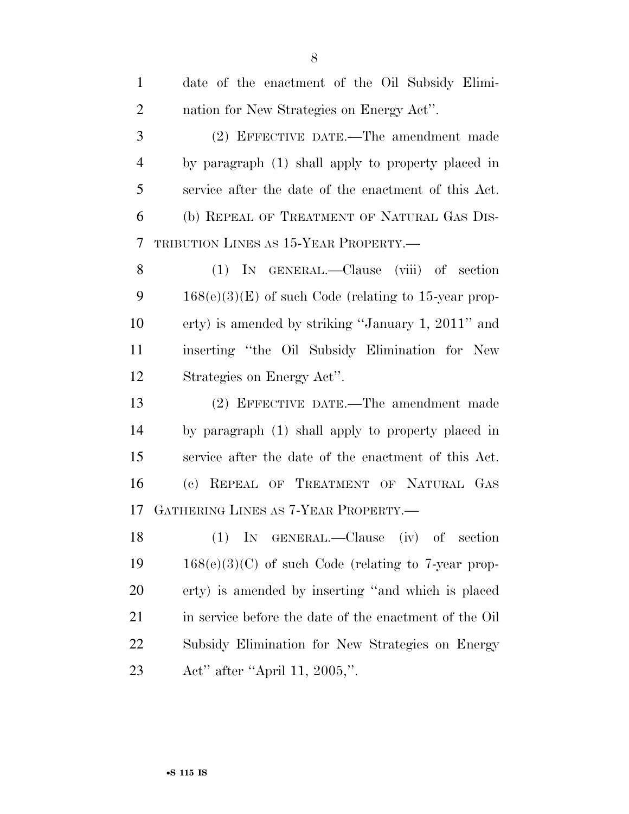| $\mathbf{1}$   | date of the enactment of the Oil Subsidy Elimi-        |
|----------------|--------------------------------------------------------|
| $\overline{2}$ | nation for New Strategies on Energy Act".              |
| 3              | (2) EFFECTIVE DATE.—The amendment made                 |
| $\overline{4}$ | by paragraph (1) shall apply to property placed in     |
| 5              | service after the date of the enactment of this Act.   |
| 6              | (b) REPEAL OF TREATMENT OF NATURAL GAS DIS-            |
| 7              | TRIBUTION LINES AS 15-YEAR PROPERTY.—                  |
| 8              | (1) IN GENERAL.—Clause (viii) of section               |
| 9              | $168(e)(3)(E)$ of such Code (relating to 15-year prop- |
| 10             | erty) is amended by striking "January 1, 2011" and     |
| 11             | inserting "the Oil Subsidy Elimination for New         |
| 12             | Strategies on Energy Act".                             |
| 13             | (2) EFFECTIVE DATE.—The amendment made                 |
| 14             | by paragraph (1) shall apply to property placed in     |
| 15             | service after the date of the enactment of this Act.   |
| 16             | (c) REPEAL OF TREATMENT OF NATURAL GAS                 |
| 17             | GATHERING LINES AS 7-YEAR PROPERTY.—                   |
| 18             | (1) IN GENERAL.—Clause (iv) of section                 |
| 19             | $168(e)(3)(C)$ of such Code (relating to 7-year prop-  |
| 20             | erty) is amended by inserting "and which is placed     |
| 21             | in service before the date of the enactment of the Oil |
| 22             | Subsidy Elimination for New Strategies on Energy       |
| 23             | Act" after "April 11, 2005,".                          |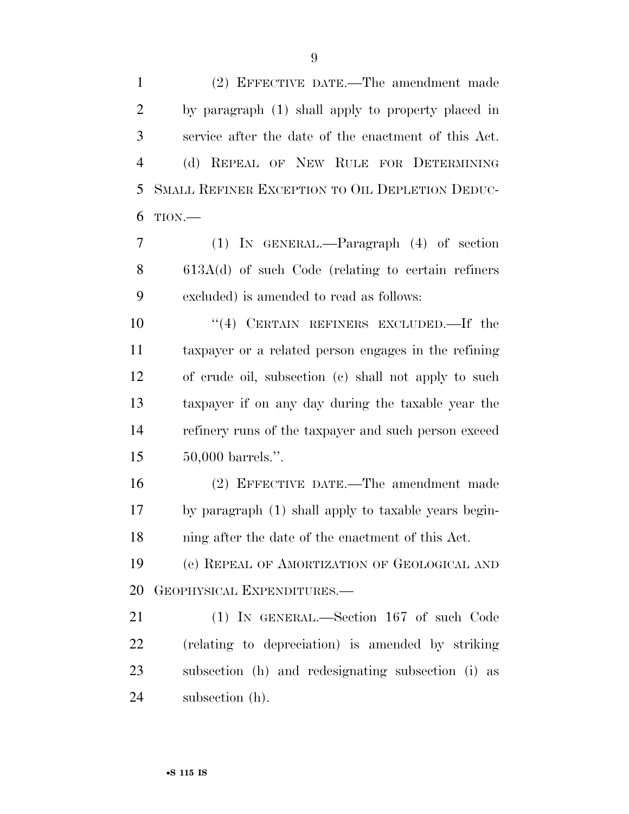(2) EFFECTIVE DATE.—The amendment made by paragraph (1) shall apply to property placed in service after the date of the enactment of this Act. (d) REPEAL OF NEW RULE FOR DETERMINING SMALL REFINER EXCEPTION TO OIL DEPLETION DEDUC- TION.— (1) IN GENERAL.—Paragraph (4) of section 613A(d) of such Code (relating to certain refiners excluded) is amended to read as follows:  $(4)$  CERTAIN REFINERS EXCLUDED. If the taxpayer or a related person engages in the refining of crude oil, subsection (c) shall not apply to such taxpayer if on any day during the taxable year the refinery runs of the taxpayer and such person exceed 50,000 barrels.''. (2) EFFECTIVE DATE.—The amendment made by paragraph (1) shall apply to taxable years begin-

 (e) REPEAL OF AMORTIZATION OF GEOLOGICAL AND GEOPHYSICAL EXPENDITURES.—

ning after the date of the enactment of this Act.

 (1) IN GENERAL.—Section 167 of such Code (relating to depreciation) is amended by striking subsection (h) and redesignating subsection (i) as subsection (h).